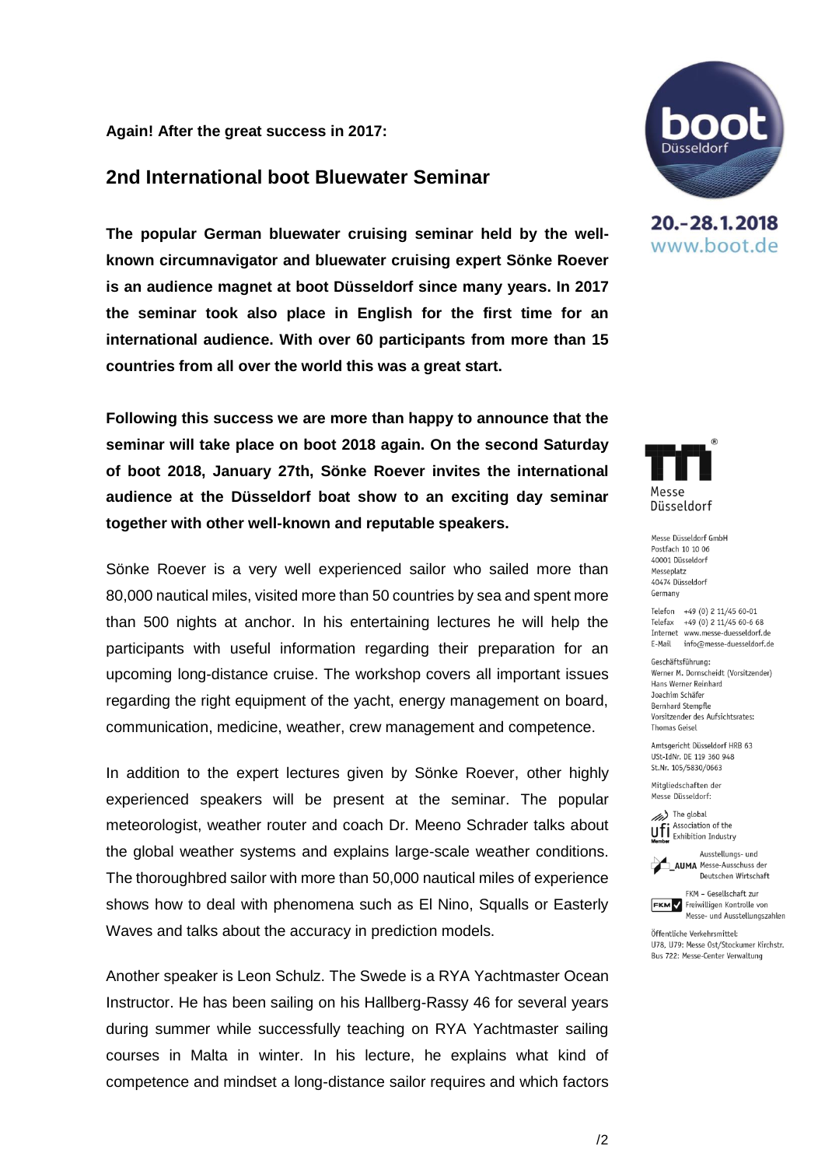#### **Again! After the great success in 2017:**

# **2nd International boot Bluewater Seminar**

**The popular German bluewater cruising seminar held by the wellknown circumnavigator and bluewater cruising expert Sönke Roever is an audience magnet at boot Düsseldorf since many years. In 2017 the seminar took also place in English for the first time for an international audience. With over 60 participants from more than 15 countries from all over the world this was a great start.**

**Following this success we are more than happy to announce that the seminar will take place on boot 2018 again. On the second Saturday of boot 2018, January 27th, Sönke Roever invites the international audience at the Düsseldorf boat show to an exciting day seminar together with other well-known and reputable speakers.**

Sönke Roever is a very well experienced sailor who sailed more than 80,000 nautical miles, visited more than 50 countries by sea and spent more than 500 nights at anchor. In his entertaining lectures he will help the participants with useful information regarding their preparation for an upcoming long-distance cruise. The workshop covers all important issues regarding the right equipment of the yacht, energy management on board, communication, medicine, weather, crew management and competence.

In addition to the expert lectures given by Sönke Roever, other highly experienced speakers will be present at the seminar. The popular meteorologist, weather router and coach Dr. Meeno Schrader talks about the global weather systems and explains large-scale weather conditions. The thoroughbred sailor with more than 50,000 nautical miles of experience shows how to deal with phenomena such as El Nino, Squalls or Easterly Waves and talks about the accuracy in prediction models.

Another speaker is Leon Schulz. The Swede is a RYA Yachtmaster Ocean Instructor. He has been sailing on his Hallberg-Rassy 46 for several years during summer while successfully teaching on RYA Yachtmaster sailing courses in Malta in winter. In his lecture, he explains what kind of competence and mindset a long-distance sailor requires and which factors



20. - 28. 1. 2018 www.boot.de



Messe Düsseldorf GmbH Postfach 10 10 06 40001 Diisseldorf Messeplatz 40474 Diisseldorf Germany

Telefon +49 (0) 2 11/45 60-01 Telefax +49 (0) 2 11/45 60-6 68 Internet www.messe-duesseldorf.de E-Mail info@messe-duesseldorf.de

Geschäftsführung: Werner M. Dornscheidt (Vorsitzender) Hans Werner Reinhard Joachim Schäfer **Bernhard Stempfle** Vorsitzender des Aufsichtsrates: **Thomas Geisel** 

Amtsgericht Düsseldorf HRB 63 USt-IdNr. DE 119 360 948 St.Nr. 105/5830/0663

Mitgliedschaften der Messe Düsseldorf:

(//// The global Association of the **UFI** Association of the<br>**Member** Exhibition Industry

Ausstellungs- und **AIIMA** Messe-Ausschuss der Deutschen Wirtschaft



Öffentliche Verkehrsmittel: U78, U79: Messe Ost/Stockumer Kirchstr. Bus 722: Messe-Center Verwaltung